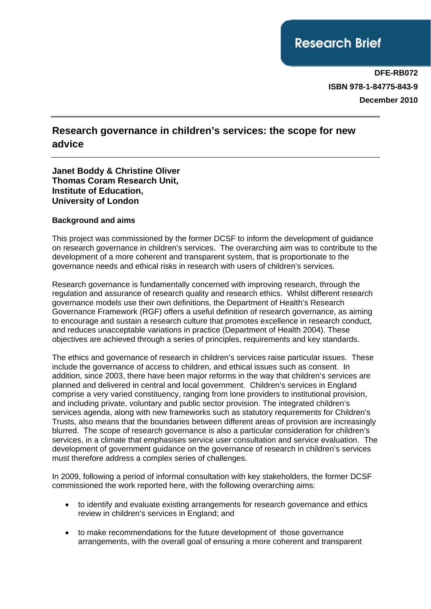# **Research Brief**

**DFE-RB072 ISBN 978-1-84775-843-9 December 2010**

# **Research governance in children's services: the scope for new advice**

#### **Janet Boddy & Christine Oliver Thomas Coram Research Unit, Institute of Education, University of London**

#### **Background and aims**

This project was commissioned by the former DCSF to inform the development of guidance on research governance in children's services. The overarching aim was to contribute to the development of a more coherent and transparent system, that is proportionate to the governance needs and ethical risks in research with users of children's services.

Research governance is fundamentally concerned with improving research, through the regulation and assurance of research quality and research ethics. Whilst different research governance models use their own definitions, the Department of Health's Research Governance Framework (RGF) offers a useful definition of research governance, as aiming to encourage and sustain a research culture that promotes excellence in research conduct, and reduces unacceptable variations in practice (Department of Health 2004). These objectives are achieved through a series of principles, requirements and key standards.

The ethics and governance of research in children's services raise particular issues. These include the governance of access to children, and ethical issues such as consent. In addition, since 2003, there have been major reforms in the way that children's services are planned and delivered in central and local government. Children's services in England comprise a very varied constituency, ranging from lone providers to institutional provision, and including private, voluntary and public sector provision. The integrated children's services agenda, along with new frameworks such as statutory requirements for Children's Trusts, also means that the boundaries between different areas of provision are increasingly blurred. The scope of research governance is also a particular consideration for children's services, in a climate that emphasises service user consultation and service evaluation. The development of government guidance on the governance of research in children's services must therefore address a complex series of challenges.

In 2009, following a period of informal consultation with key stakeholders, the former DCSF commissioned the work reported here, with the following overarching aims:

- to identify and evaluate existing arrangements for research governance and ethics review in children's services in England; and
- to make recommendations for the future development of those governance arrangements, with the overall goal of ensuring a more coherent and transparent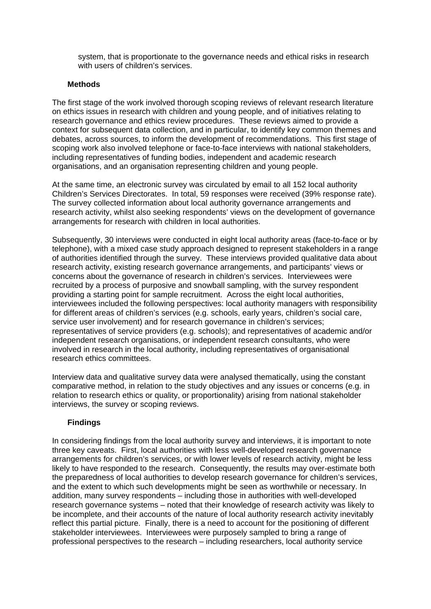system, that is proportionate to the governance needs and ethical risks in research with users of children's services.

#### **Methods**

The first stage of the work involved thorough scoping reviews of relevant research literature on ethics issues in research with children and young people, and of initiatives relating to research governance and ethics review procedures. These reviews aimed to provide a context for subsequent data collection, and in particular, to identify key common themes and debates, across sources, to inform the development of recommendations. This first stage of scoping work also involved telephone or face-to-face interviews with national stakeholders, including representatives of funding bodies, independent and academic research organisations, and an organisation representing children and young people.

At the same time, an electronic survey was circulated by email to all 152 local authority Children's Services Directorates. In total, 59 responses were received (39% response rate). The survey collected information about local authority governance arrangements and research activity, whilst also seeking respondents' views on the development of governance arrangements for research with children in local authorities.

Subsequently, 30 interviews were conducted in eight local authority areas (face-to-face or by telephone), with a mixed case study approach designed to represent stakeholders in a range of authorities identified through the survey. These interviews provided qualitative data about research activity, existing research governance arrangements, and participants' views or concerns about the governance of research in children's services. Interviewees were recruited by a process of purposive and snowball sampling, with the survey respondent providing a starting point for sample recruitment. Across the eight local authorities, interviewees included the following perspectives: local authority managers with responsibility for different areas of children's services (e.g. schools, early years, children's social care, service user involvement) and for research governance in children's services; representatives of service providers (e.g. schools); and representatives of academic and/or independent research organisations, or independent research consultants, who were involved in research in the local authority, including representatives of organisational research ethics committees.

Interview data and qualitative survey data were analysed thematically, using the constant comparative method, in relation to the study objectives and any issues or concerns (e.g. in relation to research ethics or quality, or proportionality) arising from national stakeholder interviews, the survey or scoping reviews.

#### **Findings**

In considering findings from the local authority survey and interviews, it is important to note three key caveats. First, local authorities with less well-developed research governance arrangements for children's services, or with lower levels of research activity, might be less likely to have responded to the research. Consequently, the results may over-estimate both the preparedness of local authorities to develop research governance for children's services, and the extent to which such developments might be seen as worthwhile or necessary. In addition, many survey respondents – including those in authorities with well-developed research governance systems – noted that their knowledge of research activity was likely to be incomplete, and their accounts of the nature of local authority research activity inevitably reflect this partial picture. Finally, there is a need to account for the positioning of different stakeholder interviewees. Interviewees were purposely sampled to bring a range of professional perspectives to the research – including researchers, local authority service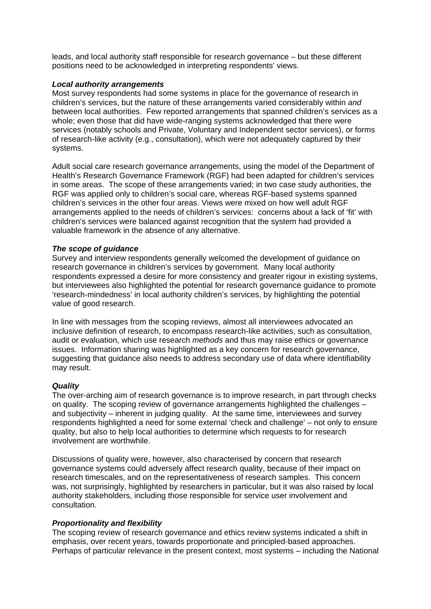leads, and local authority staff responsible for research governance – but these different positions need to be acknowledged in interpreting respondents' views.

#### *Local authority arrangements*

Most survey respondents had some systems in place for the governance of research in children's services, but the nature of these arrangements varied considerably within *and*  between local authorities. Few reported arrangements that spanned children's services as a whole; even those that did have wide-ranging systems acknowledged that there were services (notably schools and Private, Voluntary and Independent sector services), or forms of research-like activity (e.g., consultation), which were not adequately captured by their systems.

Adult social care research governance arrangements, using the model of the Department of Health's Research Governance Framework (RGF) had been adapted for children's services in some areas. The scope of these arrangements varied; in two case study authorities, the RGF was applied only to children's social care, whereas RGF-based systems spanned children's services in the other four areas. Views were mixed on how well adult RGF arrangements applied to the needs of children's services: concerns about a lack of 'fit' with children's services were balanced against recognition that the system had provided a valuable framework in the absence of any alternative.

#### *The scope of guidance*

Survey and interview respondents generally welcomed the development of guidance on research governance in children's services by government. Many local authority respondents expressed a desire for more consistency and greater rigour in existing systems, but interviewees also highlighted the potential for research governance guidance to promote 'research-mindedness' in local authority children's services, by highlighting the potential value of good research.

In line with messages from the scoping reviews, almost all interviewees advocated an inclusive definition of research, to encompass research-like activities, such as consultation, audit or evaluation, which use research *methods* and thus may raise ethics or governance issues. Information sharing was highlighted as a key concern for research governance, suggesting that guidance also needs to address secondary use of data where identifiability may result.

#### *Quality*

The over-arching aim of research governance is to improve research, in part through checks on quality. The scoping review of governance arrangements highlighted the challenges – and subjectivity – inherent in judging quality. At the same time, interviewees and survey respondents highlighted a need for some external 'check and challenge' – not only to ensure quality, but also to help local authorities to determine which requests to for research involvement are worthwhile.

Discussions of quality were, however, also characterised by concern that research governance systems could adversely affect research quality, because of their impact on research timescales, and on the representativeness of research samples. This concern was, not surprisingly, highlighted by researchers in particular, but it was also raised by local authority stakeholders, including those responsible for service user involvement and consultation.

#### *Proportionality and flexibility*

The scoping review of research governance and ethics review systems indicated a shift in emphasis, over recent years, towards proportionate and principled-based approaches. Perhaps of particular relevance in the present context, most systems – including the National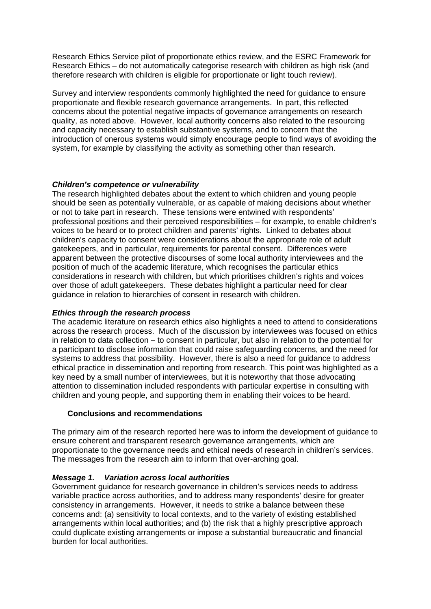Research Ethics Service pilot of proportionate ethics review, and the ESRC Framework for Research Ethics – do not automatically categorise research with children as high risk (and therefore research with children is eligible for proportionate or light touch review).

Survey and interview respondents commonly highlighted the need for guidance to ensure proportionate and flexible research governance arrangements. In part, this reflected concerns about the potential negative impacts of governance arrangements on research quality, as noted above. However, local authority concerns also related to the resourcing and capacity necessary to establish substantive systems, and to concern that the introduction of onerous systems would simply encourage people to find ways of avoiding the system, for example by classifying the activity as something other than research.

#### *Children's competence or vulnerability*

The research highlighted debates about the extent to which children and young people should be seen as potentially vulnerable, or as capable of making decisions about whether or not to take part in research. These tensions were entwined with respondents' professional positions and their perceived responsibilities – for example, to enable children's voices to be heard or to protect children and parents' rights. Linked to debates about children's capacity to consent were considerations about the appropriate role of adult gatekeepers, and in particular, requirements for parental consent. Differences were apparent between the protective discourses of some local authority interviewees and the position of much of the academic literature, which recognises the particular ethics considerations in research with children, but which prioritises children's rights and voices over those of adult gatekeepers. These debates highlight a particular need for clear guidance in relation to hierarchies of consent in research with children.

### *Ethics through the research process*

The academic literature on research ethics also highlights a need to attend to considerations across the research process. Much of the discussion by interviewees was focused on ethics in relation to data collection – to consent in particular, but also in relation to the potential for a participant to disclose information that could raise safeguarding concerns, and the need for systems to address that possibility. However, there is also a need for guidance to address ethical practice in dissemination and reporting from research. This point was highlighted as a key need by a small number of interviewees, but it is noteworthy that those advocating attention to dissemination included respondents with particular expertise in consulting with children and young people, and supporting them in enabling their voices to be heard.

#### **Conclusions and recommendations**

The primary aim of the research reported here was to inform the development of guidance to ensure coherent and transparent research governance arrangements, which are proportionate to the governance needs and ethical needs of research in children's services. The messages from the research aim to inform that over-arching goal.

#### *Message 1. Variation across local authorities*

Government guidance for research governance in children's services needs to address variable practice across authorities, and to address many respondents' desire for greater consistency in arrangements. However, it needs to strike a balance between these concerns and: (a) sensitivity to local contexts, and to the variety of existing established arrangements within local authorities; and (b) the risk that a highly prescriptive approach could duplicate existing arrangements or impose a substantial bureaucratic and financial burden for local authorities.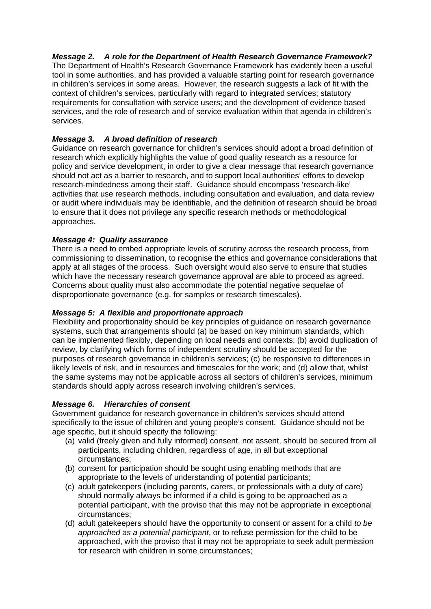#### *Message 2. A role for the Department of Health Research Governance Framework?*

The Department of Health's Research Governance Framework has evidently been a useful tool in some authorities, and has provided a valuable starting point for research governance in children's services in some areas. However, the research suggests a lack of fit with the context of children's services, particularly with regard to integrated services; statutory requirements for consultation with service users; and the development of evidence based services, and the role of research and of service evaluation within that agenda in children's services.

#### *Message 3. A broad definition of research*

Guidance on research governance for children's services should adopt a broad definition of research which explicitly highlights the value of good quality research as a resource for policy and service development, in order to give a clear message that research governance should not act as a barrier to research, and to support local authorities' efforts to develop research-mindedness among their staff. Guidance should encompass 'research-like' activities that use research methods, including consultation and evaluation, and data review or audit where individuals may be identifiable, and the definition of research should be broad to ensure that it does not privilege any specific research methods or methodological approaches.

#### *Message 4: Quality assurance*

There is a need to embed appropriate levels of scrutiny across the research process, from commissioning to dissemination, to recognise the ethics and governance considerations that apply at all stages of the process. Such oversight would also serve to ensure that studies which have the necessary research governance approval are able to proceed as agreed. Concerns about quality must also accommodate the potential negative sequelae of disproportionate governance (e.g. for samples or research timescales).

#### *Message 5: A flexible and proportionate approach*

Flexibility and proportionality should be key principles of guidance on research governance systems, such that arrangements should (a) be based on key minimum standards, which can be implemented flexibly, depending on local needs and contexts; (b) avoid duplication of review, by clarifying which forms of independent scrutiny should be accepted for the purposes of research governance in children's services; (c) be responsive to differences in likely levels of risk, and in resources and timescales for the work; and (d) allow that, whilst the same systems may not be applicable across all sectors of children's services, minimum standards should apply across research involving children's services.

#### *Message 6. Hierarchies of consent*

Government guidance for research governance in children's services should attend specifically to the issue of children and young people's consent. Guidance should not be age specific, but it should specify the following:

- (a) valid (freely given and fully informed) consent, not assent, should be secured from all participants, including children, regardless of age, in all but exceptional circumstances;
- (b) consent for participation should be sought using enabling methods that are appropriate to the levels of understanding of potential participants;
- (c) adult gatekeepers (including parents, carers, or professionals with a duty of care) should normally always be informed if a child is going to be approached as a potential participant, with the proviso that this may not be appropriate in exceptional circumstances;
- (d) adult gatekeepers should have the opportunity to consent or assent for a child *to be approached as a potential participant*, or to refuse permission for the child to be approached, with the proviso that it may not be appropriate to seek adult permission for research with children in some circumstances;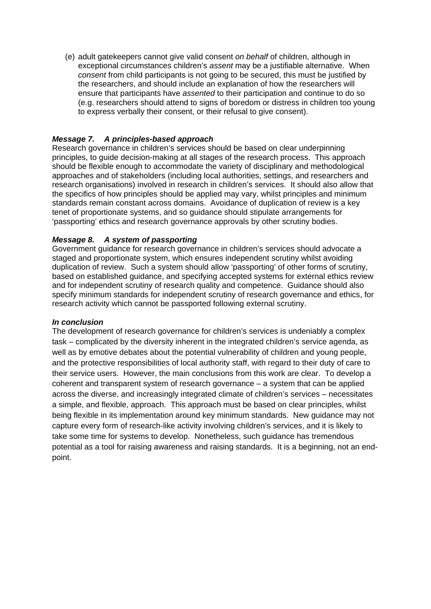(e) adult gatekeepers cannot give valid consent *on behalf* of children, although in exceptional circumstances children's *assent* may be a justifiable alternative. When *consent* from child participants is not going to be secured, this must be justified by the researchers, and should include an explanation of how the researchers will ensure that participants have *assented* to their participation and continue to do so (e.g. researchers should attend to signs of boredom or distress in children too young to express verbally their consent, or their refusal to give consent).

#### *Message 7. A principles-based approach*

Research governance in children's services should be based on clear underpinning principles, to guide decision-making at all stages of the research process. This approach should be flexible enough to accommodate the variety of disciplinary and methodological approaches and of stakeholders (including local authorities, settings, and researchers and research organisations) involved in research in children's services. It should also allow that the specifics of how principles should be applied may vary, whilst principles and minimum standards remain constant across domains. Avoidance of duplication of review is a key tenet of proportionate systems, and so guidance should stipulate arrangements for 'passporting' ethics and research governance approvals by other scrutiny bodies.

#### *Message 8. A system of passporting*

Government guidance for research governance in children's services should advocate a staged and proportionate system, which ensures independent scrutiny whilst avoiding duplication of review. Such a system should allow 'passporting' of other forms of scrutiny, based on established guidance, and specifying accepted systems for external ethics review and for independent scrutiny of research quality and competence. Guidance should also specify minimum standards for independent scrutiny of research governance and ethics, for research activity which cannot be passported following external scrutiny.

#### *In conclusion*

The development of research governance for children's services is undeniably a complex task – complicated by the diversity inherent in the integrated children's service agenda, as well as by emotive debates about the potential vulnerability of children and young people, and the protective responsibilities of local authority staff, with regard to their duty of care to their service users. However, the main conclusions from this work are clear. To develop a coherent and transparent system of research governance – a system that can be applied across the diverse, and increasingly integrated climate of children's services – necessitates a simple, and flexible, approach. This approach must be based on clear principles, whilst being flexible in its implementation around key minimum standards. New guidance may not capture every form of research-like activity involving children's services, and it is likely to take some time for systems to develop. Nonetheless, such guidance has tremendous potential as a tool for raising awareness and raising standards. It is a beginning, not an endpoint.